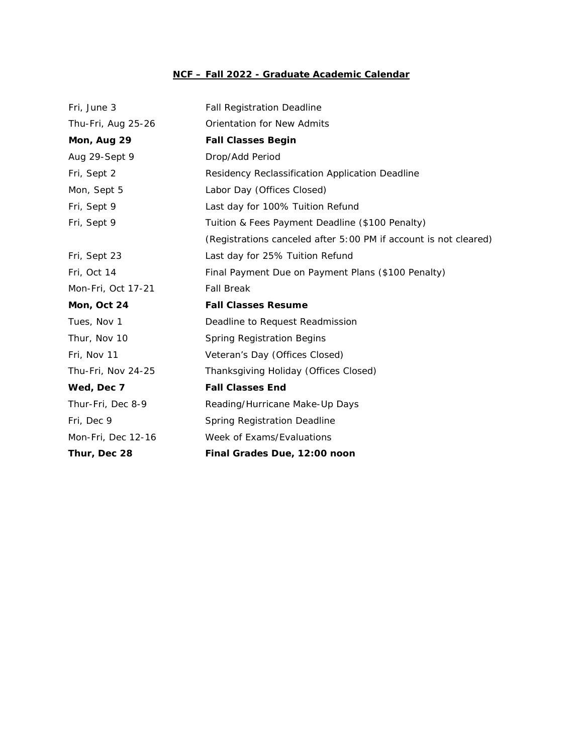## **NCF – Fall 2022 - Graduate Academic Calendar**

| Fri, June 3        | <b>Fall Registration Deadline</b>                                |
|--------------------|------------------------------------------------------------------|
| Thu-Fri, Aug 25-26 | <b>Orientation for New Admits</b>                                |
| Mon, Aug 29        | <b>Fall Classes Begin</b>                                        |
| Aug 29-Sept 9      | Drop/Add Period                                                  |
| Fri, Sept 2        | Residency Reclassification Application Deadline                  |
| Mon, Sept 5        | Labor Day (Offices Closed)                                       |
| Fri, Sept 9        | Last day for 100% Tuition Refund                                 |
| Fri, Sept 9        | Tuition & Fees Payment Deadline (\$100 Penalty)                  |
|                    | (Registrations canceled after 5:00 PM if account is not cleared) |
| Fri, Sept 23       | Last day for 25% Tuition Refund                                  |
| Fri, Oct 14        | Final Payment Due on Payment Plans (\$100 Penalty)               |
| Mon-Fri, Oct 17-21 | <b>Fall Break</b>                                                |
| Mon, Oct 24        | <b>Fall Classes Resume</b>                                       |
| Tues, Nov 1        | Deadline to Request Readmission                                  |
| Thur, Nov 10       | Spring Registration Begins                                       |
| Fri, Nov 11        | Veteran's Day (Offices Closed)                                   |
| Thu-Fri, Nov 24-25 | Thanksgiving Holiday (Offices Closed)                            |
| Wed, Dec 7         | <b>Fall Classes End</b>                                          |
| Thur-Fri, Dec 8-9  | Reading/Hurricane Make-Up Days                                   |
| Fri, Dec 9         | <b>Spring Registration Deadline</b>                              |
| Mon-Fri, Dec 12-16 | Week of Exams/Evaluations                                        |
| Thur, Dec 28       | Final Grades Due, 12:00 noon                                     |